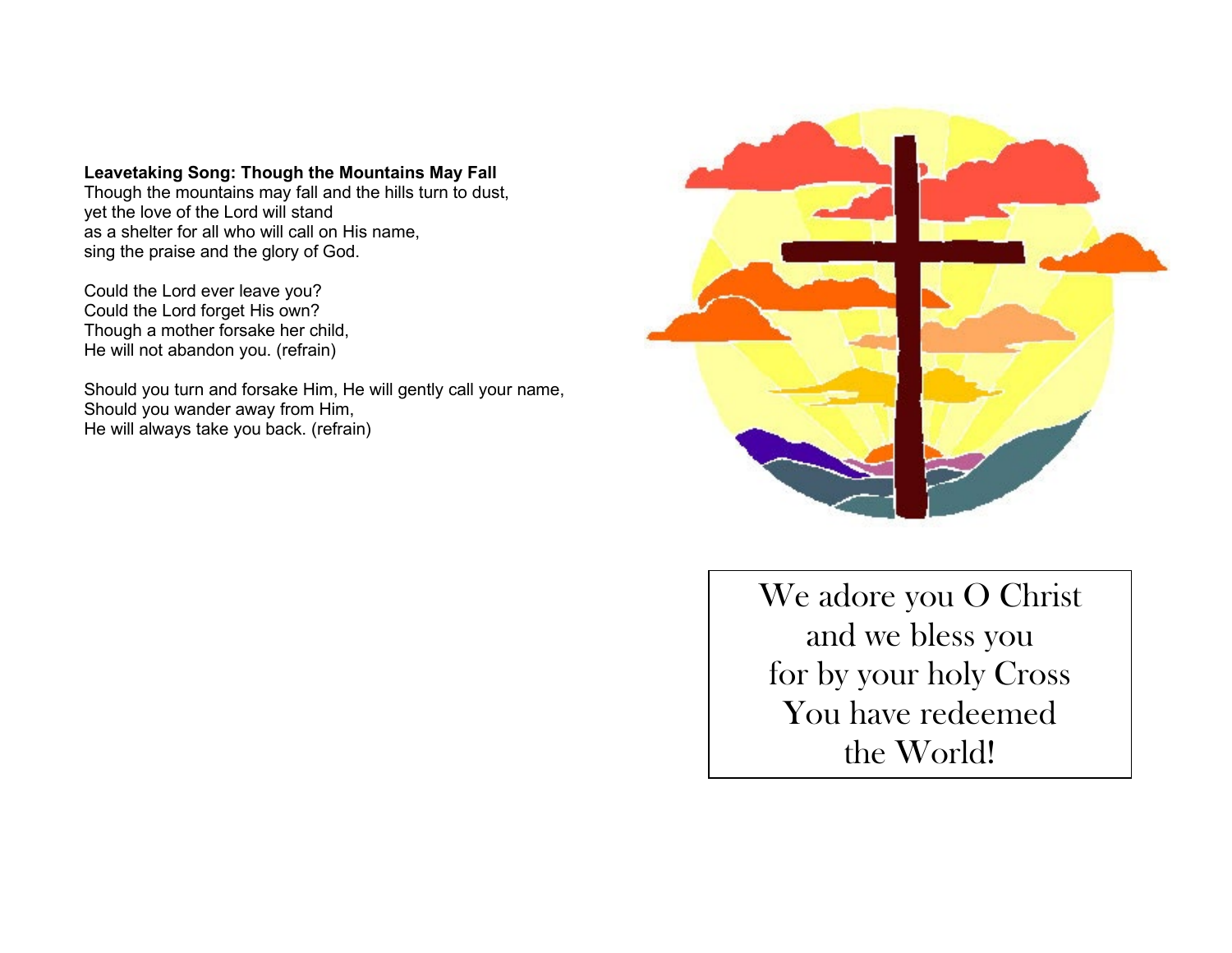### **Leavetaking Song: Though the Mountains May Fall**

Though the mountains may fall and the hills turn to dust, yet the love of the Lord will stand as a shelter for all who will call on His name, sing the praise and the glory of God.

Could the Lord ever leave you? Could the Lord forget His own? Though a mother forsake her child, He will not abandon you. (refrain)

Should you turn and forsake Him, He will gently call your name, Should you wander away from Him, He will always take you back. (refrain)



We adore you O Christ and we bless you for by your holy Cross You have redeemed the World!